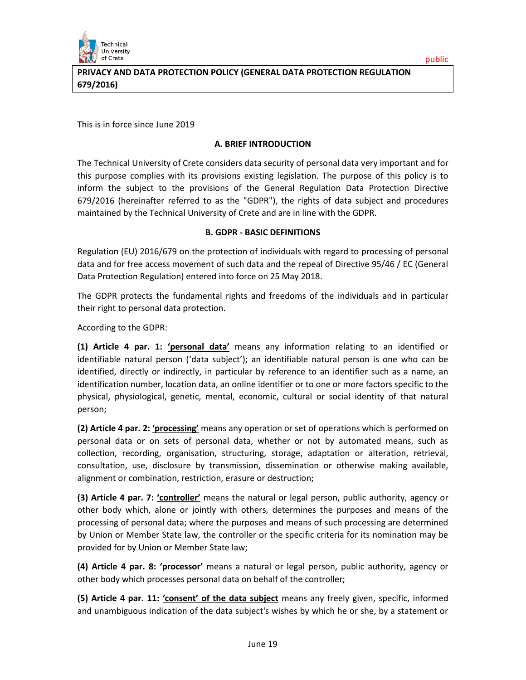

**PRIVACY AND DATA PROTECTION POLICY (GENERAL DATA PROTECTION REGULATION 679/2016)**

This is in force since June 2019

#### **A. BRIEF INTRODUCTION**

The Technical University of Crete considers data security of personal data very important and for this purpose complies with its provisions existing legislation. The purpose of this policy is to inform the subject to the provisions of the General Regulation Data Protection Directive 679/2016 (hereinafter referred to as the "GDPR"), the rights of data subject and procedures maintained by the Technical University of Crete and are in line with the GDPR.

#### **B. GDPR - BASIC DEFINITIONS**

Regulation (EU) 2016/679 on the protection of individuals with regard to processing of personal data and for free access movement of such data and the repeal of Directive 95/46 / EC (General Data Protection Regulation) entered into force on 25 May 2018.

The GDPR protects the fundamental rights and freedoms of the individuals and in particular their right to personal data protection.

According to the GDPR:

**(1) Article 4 par. 1: 'personal data'** means any information relating to an identified or identifiable natural person ('data subject'); an identifiable natural person is one who can be identified, directly or indirectly, in particular by reference to an identifier such as a name, an identification number, location data, an online identifier or to one or more factors specific to the physical, physiological, genetic, mental, economic, cultural or social identity of that natural person;

**(2) Article 4 par. 2: 'processing'** means any operation or set of operations which is performed on personal data or on sets of personal data, whether or not by automated means, such as collection, recording, organisation, structuring, storage, adaptation or alteration, retrieval, consultation, use, disclosure by transmission, dissemination or otherwise making available, alignment or combination, restriction, erasure or destruction;

**(3) Article 4 par. 7: 'controller'** means the natural or legal person, public authority, agency or other body which, alone or jointly with others, determines the purposes and means of the processing of personal data; where the purposes and means of such processing are determined by Union or Member State law, the controller or the specific criteria for its nomination may be provided for by Union or Member State law;

**(4) Article 4 par. 8: 'processor'** means a natural or legal person, public authority, agency or other body which processes personal data on behalf of the controller;

**(5) Article 4 par. 11: 'consent' of the data subject** means any freely given, specific, informed and unambiguous indication of the data subject's wishes by which he or she, by a statement or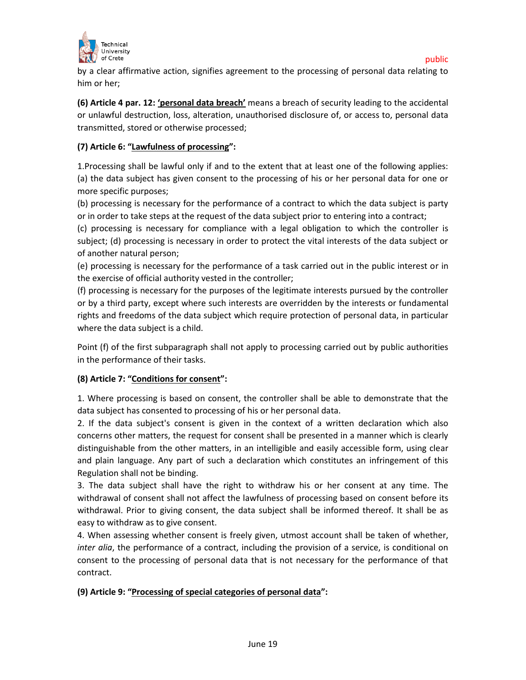

by a clear affirmative action, signifies agreement to the processing of personal data relating to him or her;

**(6) Article 4 par. 12: 'personal data breach'** means a breach of security leading to the accidental or unlawful destruction, loss, alteration, unauthorised disclosure of, or access to, personal data transmitted, stored or otherwise processed;

# **(7) Article 6: "Lawfulness of processing":**

1.Processing shall be lawful only if and to the extent that at least one of the following applies: (a) the data subject has given consent to the processing of his or her personal data for one or more specific purposes;

(b) processing is necessary for the performance of a contract to which the data subject is party or in order to take steps at the request of the data subject prior to entering into a contract;

(c) processing is necessary for compliance with a legal obligation to which the controller is subject; (d) processing is necessary in order to protect the vital interests of the data subject or of another natural person;

(e) processing is necessary for the performance of a task carried out in the public interest or in the exercise of official authority vested in the controller;

(f) processing is necessary for the purposes of the legitimate interests pursued by the controller or by a third party, except where such interests are overridden by the interests or fundamental rights and freedoms of the data subject which require protection of personal data, in particular where the data subject is a child.

Point (f) of the first subparagraph shall not apply to processing carried out by public authorities in the performance of their tasks.

## **(8) Article 7: "Conditions for consent":**

1. Where processing is based on consent, the controller shall be able to demonstrate that the data subject has consented to processing of his or her personal data.

2. If the data subject's consent is given in the context of a written declaration which also concerns other matters, the request for consent shall be presented in a manner which is clearly distinguishable from the other matters, in an intelligible and easily accessible form, using clear and plain language. Any part of such a declaration which constitutes an infringement of this Regulation shall not be binding.

3. The data subject shall have the right to withdraw his or her consent at any time. The withdrawal of consent shall not affect the lawfulness of processing based on consent before its withdrawal. Prior to giving consent, the data subject shall be informed thereof. It shall be as easy to withdraw as to give consent.

4. When assessing whether consent is freely given, utmost account shall be taken of whether, *inter alia*, the performance of a contract, including the provision of a service, is conditional on consent to the processing of personal data that is not necessary for the performance of that contract.

## **(9) Article 9: "Processing of special categories of personal data":**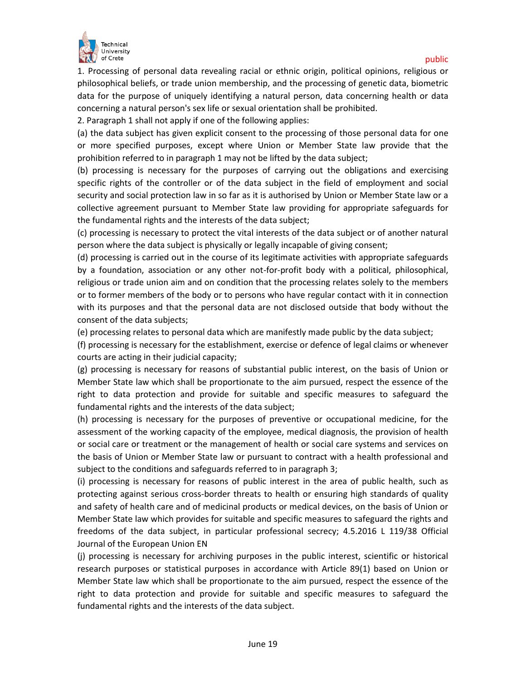

1. Processing of personal data revealing racial or ethnic origin, political opinions, religious or philosophical beliefs, or trade union membership, and the processing of genetic data, biometric data for the purpose of uniquely identifying a natural person, data concerning health or data concerning a natural person's sex life or sexual orientation shall be prohibited.

2. Paragraph 1 shall not apply if one of the following applies:

(a) the data subject has given explicit consent to the processing of those personal data for one or more specified purposes, except where Union or Member State law provide that the prohibition referred to in paragraph 1 may not be lifted by the data subject;

(b) processing is necessary for the purposes of carrying out the obligations and exercising specific rights of the controller or of the data subject in the field of employment and social security and social protection law in so far as it is authorised by Union or Member State law or a collective agreement pursuant to Member State law providing for appropriate safeguards for the fundamental rights and the interests of the data subject;

(c) processing is necessary to protect the vital interests of the data subject or of another natural person where the data subject is physically or legally incapable of giving consent;

(d) processing is carried out in the course of its legitimate activities with appropriate safeguards by a foundation, association or any other not-for-profit body with a political, philosophical, religious or trade union aim and on condition that the processing relates solely to the members or to former members of the body or to persons who have regular contact with it in connection with its purposes and that the personal data are not disclosed outside that body without the consent of the data subjects;

(e) processing relates to personal data which are manifestly made public by the data subject;

(f) processing is necessary for the establishment, exercise or defence of legal claims or whenever courts are acting in their judicial capacity;

(g) processing is necessary for reasons of substantial public interest, on the basis of Union or Member State law which shall be proportionate to the aim pursued, respect the essence of the right to data protection and provide for suitable and specific measures to safeguard the fundamental rights and the interests of the data subject;

(h) processing is necessary for the purposes of preventive or occupational medicine, for the assessment of the working capacity of the employee, medical diagnosis, the provision of health or social care or treatment or the management of health or social care systems and services on the basis of Union or Member State law or pursuant to contract with a health professional and subject to the conditions and safeguards referred to in paragraph 3;

(i) processing is necessary for reasons of public interest in the area of public health, such as protecting against serious cross-border threats to health or ensuring high standards of quality and safety of health care and of medicinal products or medical devices, on the basis of Union or Member State law which provides for suitable and specific measures to safeguard the rights and freedoms of the data subject, in particular professional secrecy; 4.5.2016 L 119/38 Official Journal of the European Union EN

(j) processing is necessary for archiving purposes in the public interest, scientific or historical research purposes or statistical purposes in accordance with Article 89(1) based on Union or Member State law which shall be proportionate to the aim pursued, respect the essence of the right to data protection and provide for suitable and specific measures to safeguard the fundamental rights and the interests of the data subject.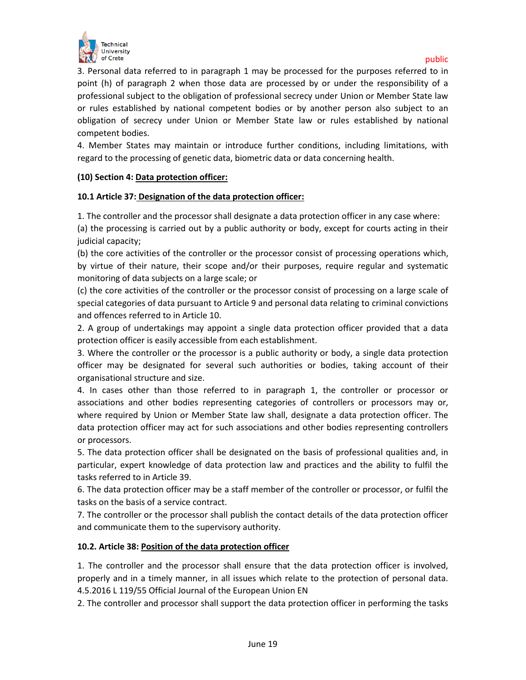

3. Personal data referred to in paragraph 1 may be processed for the purposes referred to in point (h) of paragraph 2 when those data are processed by or under the responsibility of a professional subject to the obligation of professional secrecy under Union or Member State law or rules established by national competent bodies or by another person also subject to an obligation of secrecy under Union or Member State law or rules established by national competent bodies.

4. Member States may maintain or introduce further conditions, including limitations, with regard to the processing of genetic data, biometric data or data concerning health.

## **(10) Section 4: Data protection officer:**

## **10.1 Article 37: Designation of the data protection officer:**

1. The controller and the processor shall designate a data protection officer in any case where:

(a) the processing is carried out by a public authority or body, except for courts acting in their judicial capacity;

(b) the core activities of the controller or the processor consist of processing operations which, by virtue of their nature, their scope and/or their purposes, require regular and systematic monitoring of data subjects on a large scale; or

(c) the core activities of the controller or the processor consist of processing on a large scale of special categories of data pursuant to Article 9 and personal data relating to criminal convictions and offences referred to in Article 10.

2. A group of undertakings may appoint a single data protection officer provided that a data protection officer is easily accessible from each establishment.

3. Where the controller or the processor is a public authority or body, a single data protection officer may be designated for several such authorities or bodies, taking account of their organisational structure and size.

4. In cases other than those referred to in paragraph 1, the controller or processor or associations and other bodies representing categories of controllers or processors may or, where required by Union or Member State law shall, designate a data protection officer. The data protection officer may act for such associations and other bodies representing controllers or processors.

5. The data protection officer shall be designated on the basis of professional qualities and, in particular, expert knowledge of data protection law and practices and the ability to fulfil the tasks referred to in Article 39.

6. The data protection officer may be a staff member of the controller or processor, or fulfil the tasks on the basis of a service contract.

7. The controller or the processor shall publish the contact details of the data protection officer and communicate them to the supervisory authority.

## **10.2. Article 38: Position of the data protection officer**

1. The controller and the processor shall ensure that the data protection officer is involved, properly and in a timely manner, in all issues which relate to the protection of personal data. 4.5.2016 L 119/55 Official Journal of the European Union EN

2. The controller and processor shall support the data protection officer in performing the tasks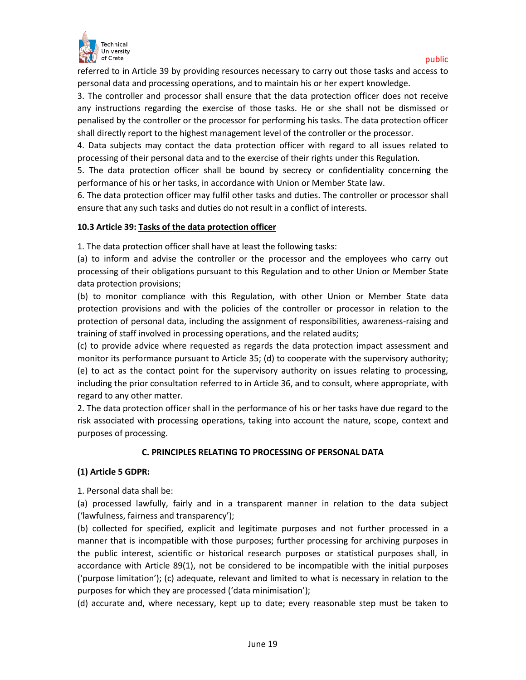

referred to in Article 39 by providing resources necessary to carry out those tasks and access to personal data and processing operations, and to maintain his or her expert knowledge.

3. The controller and processor shall ensure that the data protection officer does not receive any instructions regarding the exercise of those tasks. He or she shall not be dismissed or penalised by the controller or the processor for performing his tasks. The data protection officer shall directly report to the highest management level of the controller or the processor.

4. Data subjects may contact the data protection officer with regard to all issues related to processing of their personal data and to the exercise of their rights under this Regulation.

5. The data protection officer shall be bound by secrecy or confidentiality concerning the performance of his or her tasks, in accordance with Union or Member State law.

6. The data protection officer may fulfil other tasks and duties. The controller or processor shall ensure that any such tasks and duties do not result in a conflict of interests.

## **10.3 Article 39: Tasks of the data protection officer**

1. The data protection officer shall have at least the following tasks:

(a) to inform and advise the controller or the processor and the employees who carry out processing of their obligations pursuant to this Regulation and to other Union or Member State data protection provisions;

(b) to monitor compliance with this Regulation, with other Union or Member State data protection provisions and with the policies of the controller or processor in relation to the protection of personal data, including the assignment of responsibilities, awareness-raising and training of staff involved in processing operations, and the related audits;

(c) to provide advice where requested as regards the data protection impact assessment and monitor its performance pursuant to Article 35; (d) to cooperate with the supervisory authority; (e) to act as the contact point for the supervisory authority on issues relating to processing, including the prior consultation referred to in Article 36, and to consult, where appropriate, with regard to any other matter.

2. The data protection officer shall in the performance of his or her tasks have due regard to the risk associated with processing operations, taking into account the nature, scope, context and purposes of processing.

## **C. PRINCIPLES RELATING TO PROCESSING OF PERSONAL DATA**

## **(1) Article 5 GDPR:**

1. Personal data shall be:

(a) processed lawfully, fairly and in a transparent manner in relation to the data subject ('lawfulness, fairness and transparency');

(b) collected for specified, explicit and legitimate purposes and not further processed in a manner that is incompatible with those purposes; further processing for archiving purposes in the public interest, scientific or historical research purposes or statistical purposes shall, in accordance with Article 89(1), not be considered to be incompatible with the initial purposes ('purpose limitation'); (c) adequate, relevant and limited to what is necessary in relation to the purposes for which they are processed ('data minimisation');

(d) accurate and, where necessary, kept up to date; every reasonable step must be taken to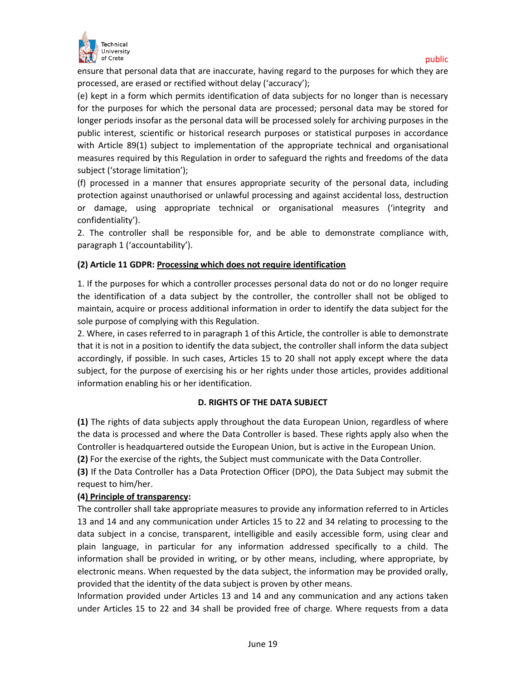

ensure that personal data that are inaccurate, having regard to the purposes for which they are processed, are erased or rectified without delay ('accuracy');

(e) kept in a form which permits identification of data subjects for no longer than is necessary for the purposes for which the personal data are processed; personal data may be stored for longer periods insofar as the personal data will be processed solely for archiving purposes in the public interest, scientific or historical research purposes or statistical purposes in accordance with Article 89(1) subject to implementation of the appropriate technical and organisational measures required by this Regulation in order to safeguard the rights and freedoms of the data subject ('storage limitation');

(f) processed in a manner that ensures appropriate security of the personal data, including protection against unauthorised or unlawful processing and against accidental loss, destruction or damage, using appropriate technical or organisational measures ('integrity and confidentiality').

2. The controller shall be responsible for, and be able to demonstrate compliance with, paragraph 1 ('accountability').

## **(2) Article 11 GDPR: Processing which does not require identification**

1. If the purposes for which a controller processes personal data do not or do no longer require the identification of a data subject by the controller, the controller shall not be obliged to maintain, acquire or process additional information in order to identify the data subject for the sole purpose of complying with this Regulation.

2. Where, in cases referred to in paragraph 1 of this Article, the controller is able to demonstrate that it is not in a position to identify the data subject, the controller shall inform the data subject accordingly, if possible. In such cases, Articles 15 to 20 shall not apply except where the data subject, for the purpose of exercising his or her rights under those articles, provides additional information enabling his or her identification.

## **D. RIGHTS OF THE DATA SUBJECT**

**(1)** The rights of data subjects apply throughout the data European Union, regardless of where the data is processed and where the Data Controller is based. These rights apply also when the Controller is headquartered outside the European Union, but is active in the European Union.

**(2)** For the exercise of the rights, the Subject must communicate with the Data Controller.

**(3)** If the Data Controller has a Data Protection Officer (DPO), the Data Subject may submit the request to him/her.

## **(4) Principle of transparency:**

The controller shall take appropriate measures to provide any information referred to in Articles 13 and 14 and any communication under Articles 15 to 22 and 34 relating to processing to the data subject in a concise, transparent, intelligible and easily accessible form, using clear and plain language, in particular for any information addressed specifically to a child. The information shall be provided in writing, or by other means, including, where appropriate, by electronic means. When requested by the data subject, the information may be provided orally, provided that the identity of the data subject is proven by other means.

Information provided under Articles 13 and 14 and any communication and any actions taken under Articles 15 to 22 and 34 shall be provided free of charge. Where requests from a data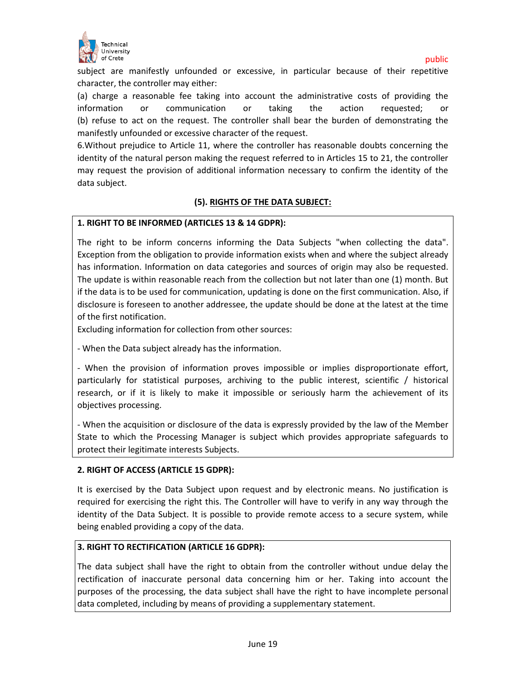

subject are manifestly unfounded or excessive, in particular because of their repetitive character, the controller may either:

(a) charge a reasonable fee taking into account the administrative costs of providing the information or communication or taking the action requested; or (b) refuse to act on the request. The controller shall bear the burden of demonstrating the manifestly unfounded or excessive character of the request.

6.Without prejudice to Article 11, where the controller has reasonable doubts concerning the identity of the natural person making the request referred to in Articles 15 to 21, the controller may request the provision of additional information necessary to confirm the identity of the data subject.

## **(5). RIGHTS OF THE DATA SUBJECT:**

## **1. RIGHT TO BE INFORMED (ARTICLES 13 & 14 GDPR):**

The right to be inform concerns informing the Data Subjects "when collecting the data". Exception from the obligation to provide information exists when and where the subject already has information. Information on data categories and sources of origin may also be requested. The update is within reasonable reach from the collection but not later than one (1) month. But if the data is to be used for communication, updating is done on the first communication. Also, if disclosure is foreseen to another addressee, the update should be done at the latest at the time of the first notification.

Excluding information for collection from other sources:

- When the Data subject already has the information.

- When the provision of information proves impossible or implies disproportionate effort, particularly for statistical purposes, archiving to the public interest, scientific / historical research, or if it is likely to make it impossible or seriously harm the achievement of its objectives processing.

- When the acquisition or disclosure of the data is expressly provided by the law of the Member State to which the Processing Manager is subject which provides appropriate safeguards to protect their legitimate interests Subjects.

## **2. RIGHT OF ACCESS (ARTICLE 15 GDPR):**

It is exercised by the Data Subject upon request and by electronic means. No justification is required for exercising the right this. The Controller will have to verify in any way through the identity of the Data Subject. It is possible to provide remote access to a secure system, while being enabled providing a copy of the data.

#### **3. RIGHT TO RECTIFICATION (ARTICLE 16 GDPR):**

The data subject shall have the right to obtain from the controller without undue delay the rectification of inaccurate personal data concerning him or her. Taking into account the purposes of the processing, the data subject shall have the right to have incomplete personal data completed, including by means of providing a supplementary statement.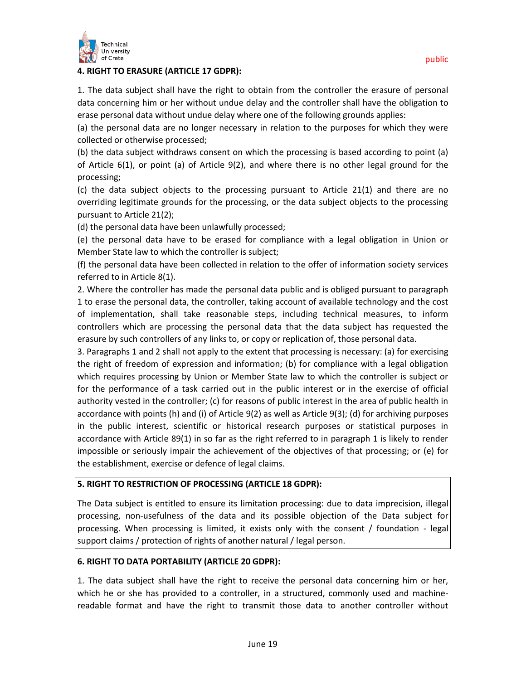

#### **4. RIGHT TO ERASURE (ARTICLE 17 GDPR):**

1. The data subject shall have the right to obtain from the controller the erasure of personal data concerning him or her without undue delay and the controller shall have the obligation to erase personal data without undue delay where one of the following grounds applies:

(a) the personal data are no longer necessary in relation to the purposes for which they were collected or otherwise processed;

(b) the data subject withdraws consent on which the processing is based according to point (a) of Article 6(1), or point (a) of Article 9(2), and where there is no other legal ground for the processing;

(c) the data subject objects to the processing pursuant to Article 21(1) and there are no overriding legitimate grounds for the processing, or the data subject objects to the processing pursuant to Article 21(2);

(d) the personal data have been unlawfully processed;

(e) the personal data have to be erased for compliance with a legal obligation in Union or Member State law to which the controller is subject;

(f) the personal data have been collected in relation to the offer of information society services referred to in Article 8(1).

2. Where the controller has made the personal data public and is obliged pursuant to paragraph 1 to erase the personal data, the controller, taking account of available technology and the cost of implementation, shall take reasonable steps, including technical measures, to inform controllers which are processing the personal data that the data subject has requested the erasure by such controllers of any links to, or copy or replication of, those personal data.

3. Paragraphs 1 and 2 shall not apply to the extent that processing is necessary: (a) for exercising the right of freedom of expression and information; (b) for compliance with a legal obligation which requires processing by Union or Member State law to which the controller is subject or for the performance of a task carried out in the public interest or in the exercise of official authority vested in the controller; (c) for reasons of public interest in the area of public health in accordance with points (h) and (i) of Article 9(2) as well as Article 9(3); (d) for archiving purposes in the public interest, scientific or historical research purposes or statistical purposes in accordance with Article 89(1) in so far as the right referred to in paragraph 1 is likely to render impossible or seriously impair the achievement of the objectives of that processing; or (e) for the establishment, exercise or defence of legal claims.

## **5. RIGHT TO RESTRICTION OF PROCESSING (ARTICLE 18 GDPR):**

The Data subject is entitled to ensure its limitation processing: due to data imprecision, illegal processing, non-usefulness of the data and its possible objection of the Data subject for processing. When processing is limited, it exists only with the consent / foundation - legal support claims / protection of rights of another natural / legal person.

## **6. RIGHT TO DATA PORTABILITY (ARTICLE 20 GDPR):**

1. The data subject shall have the right to receive the personal data concerning him or her, which he or she has provided to a controller, in a structured, commonly used and machinereadable format and have the right to transmit those data to another controller without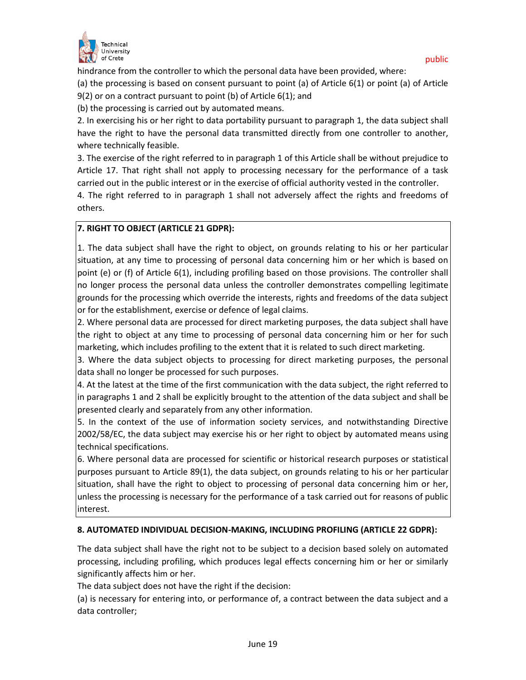

hindrance from the controller to which the personal data have been provided, where:

(a) the processing is based on consent pursuant to point (a) of Article 6(1) or point (a) of Article

9(2) or on a contract pursuant to point (b) of Article 6(1); and

(b) the processing is carried out by automated means.

2. In exercising his or her right to data portability pursuant to paragraph 1, the data subject shall have the right to have the personal data transmitted directly from one controller to another, where technically feasible.

3. The exercise of the right referred to in paragraph 1 of this Article shall be without prejudice to Article 17. That right shall not apply to processing necessary for the performance of a task carried out in the public interest or in the exercise of official authority vested in the controller.

4. The right referred to in paragraph 1 shall not adversely affect the rights and freedoms of others.

## **7. RIGHT TO OBJECT (ARTICLE 21 GDPR):**

1. The data subject shall have the right to object, on grounds relating to his or her particular situation, at any time to processing of personal data concerning him or her which is based on point (e) or (f) of Article 6(1), including profiling based on those provisions. The controller shall no longer process the personal data unless the controller demonstrates compelling legitimate grounds for the processing which override the interests, rights and freedoms of the data subject or for the establishment, exercise or defence of legal claims.

2. Where personal data are processed for direct marketing purposes, the data subject shall have the right to object at any time to processing of personal data concerning him or her for such marketing, which includes profiling to the extent that it is related to such direct marketing.

3. Where the data subject objects to processing for direct marketing purposes, the personal data shall no longer be processed for such purposes.

4. At the latest at the time of the first communication with the data subject, the right referred to in paragraphs 1 and 2 shall be explicitly brought to the attention of the data subject and shall be presented clearly and separately from any other information.

5. In the context of the use of information society services, and notwithstanding Directive 2002/58/EC, the data subject may exercise his or her right to object by automated means using technical specifications.

6. Where personal data are processed for scientific or historical research purposes or statistical purposes pursuant to Article 89(1), the data subject, on grounds relating to his or her particular situation, shall have the right to object to processing of personal data concerning him or her, unless the processing is necessary for the performance of a task carried out for reasons of public interest.

## **8. AUTOMATED INDIVIDUAL DECISION-MAKING, INCLUDING PROFILING (ARTICLE 22 GDPR):**

The data subject shall have the right not to be subject to a decision based solely on automated processing, including profiling, which produces legal effects concerning him or her or similarly significantly affects him or her.

The data subject does not have the right if the decision:

(a) is necessary for entering into, or performance of, a contract between the data subject and a data controller;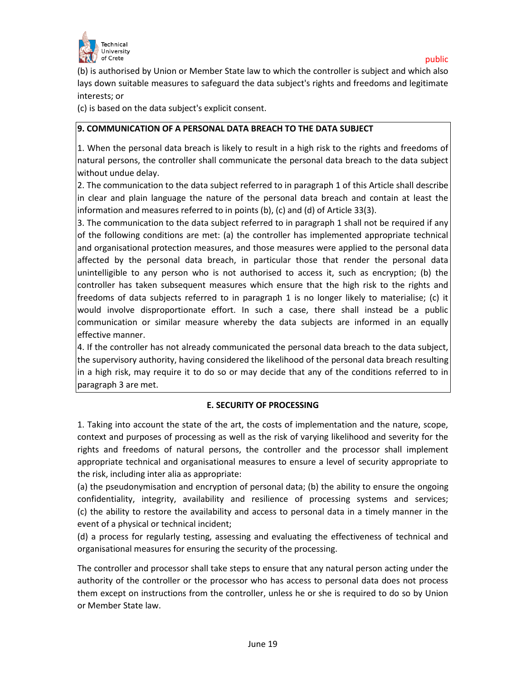

(b) is authorised by Union or Member State law to which the controller is subject and which also lays down suitable measures to safeguard the data subject's rights and freedoms and legitimate interests; or

(c) is based on the data subject's explicit consent.

## **9. COMMUNICATION OF A PERSONAL DATA BREACH TO THE DATA SUBJECT**

1. When the personal data breach is likely to result in a high risk to the rights and freedoms of natural persons, the controller shall communicate the personal data breach to the data subject without undue delay.

2. The communication to the data subject referred to in paragraph 1 of this Article shall describe in clear and plain language the nature of the personal data breach and contain at least the information and measures referred to in points (b), (c) and (d) of Article 33(3).

3. The communication to the data subject referred to in paragraph 1 shall not be required if any of the following conditions are met: (a) the controller has implemented appropriate technical and organisational protection measures, and those measures were applied to the personal data affected by the personal data breach, in particular those that render the personal data unintelligible to any person who is not authorised to access it, such as encryption; (b) the controller has taken subsequent measures which ensure that the high risk to the rights and freedoms of data subjects referred to in paragraph 1 is no longer likely to materialise; (c) it would involve disproportionate effort. In such a case, there shall instead be a public communication or similar measure whereby the data subjects are informed in an equally effective manner.

4. If the controller has not already communicated the personal data breach to the data subject, the supervisory authority, having considered the likelihood of the personal data breach resulting in a high risk, may require it to do so or may decide that any of the conditions referred to in paragraph 3 are met.

## **E. SECURITY OF PROCESSING**

1. Taking into account the state of the art, the costs of implementation and the nature, scope, context and purposes of processing as well as the risk of varying likelihood and severity for the rights and freedoms of natural persons, the controller and the processor shall implement appropriate technical and organisational measures to ensure a level of security appropriate to the risk, including inter alia as appropriate:

(a) the pseudonymisation and encryption of personal data; (b) the ability to ensure the ongoing confidentiality, integrity, availability and resilience of processing systems and services; (c) the ability to restore the availability and access to personal data in a timely manner in the event of a physical or technical incident;

(d) a process for regularly testing, assessing and evaluating the effectiveness of technical and organisational measures for ensuring the security of the processing.

The controller and processor shall take steps to ensure that any natural person acting under the authority of the controller or the processor who has access to personal data does not process them except on instructions from the controller, unless he or she is required to do so by Union or Member State law.